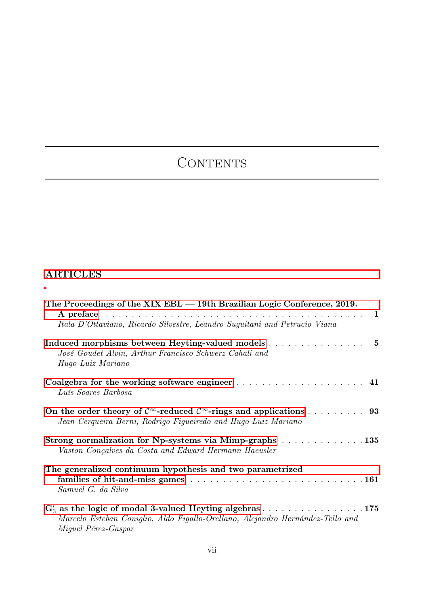## CONTENTS

## ARTICLES

| The Proceedings of the $XIX$ EBL $-$ 19th Brazilian Logic Conference, 2019.                                                                                                 |  |
|-----------------------------------------------------------------------------------------------------------------------------------------------------------------------------|--|
| Itala D'Ottaviano, Ricardo Silvestre, Leandro Suguitani and Petrucio Viana                                                                                                  |  |
| Induced morphisms between Heyting-valued models 5<br>José Goudet Alvin, Arthur Francisco Schwerz Cahali and<br>Hugo Luiz Mariano                                            |  |
| Luís Soares Barbosa                                                                                                                                                         |  |
| On the order theory of $\mathcal{C}^{\infty}$ -reduced $\mathcal{C}^{\infty}$ -rings and applications  93<br>Jean Cerqueira Berni, Rodrigo Figueiredo and Hugo Luiz Mariano |  |
| Strong normalization for Np-systems via Mimp-graphs 135<br>Vaston Conçalves da Costa and Edward Hermann Haeusler                                                            |  |
| The generalized continuum hypothesis and two parametrized<br>Samuel G. da Silva                                                                                             |  |
| $G'_3$ as the logic of modal 3-valued Heyting algebras 175<br>Marcelo Esteban Coniglio, Aldo Figallo-Orellano, Alejandro Hernández-Tello and<br>Miguel Pérez-Gaspar         |  |